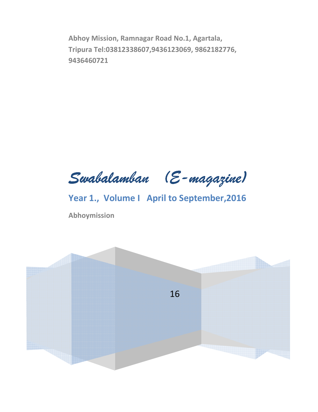Abhoy Mission, Ramnagar Road No.1, Agartala, Tripura Tel:03812338607,9436123069, 9862182776, 9436460721

Swabalamban (E-magazine)

Year 1., Volume I April to September, 2016

Abhoymission

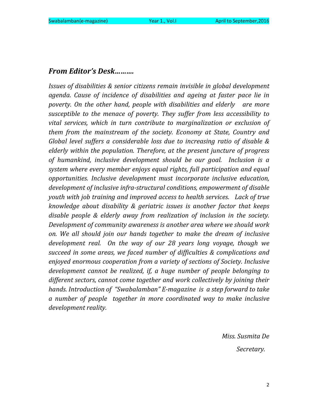## From Editor's Desk……….

Issues of disabilities & senior citizens remain invisible in global development agenda. Cause of incidence of disabilities and ageing at faster pace lie in poverty. On the other hand, people with disabilities and elderly are more susceptible to the menace of poverty. They suffer from less accessibility to vital services, which in turn contribute to marginalization or exclusion of them from the mainstream of the society. Economy at State, Country and Global level suffers a considerable loss due to increasing ratio of disable & elderly within the population. Therefore, at the present juncture of progress of humankind, inclusive development should be our goal. Inclusion is a system where every member enjoys equal rights, full participation and equal opportunities. Inclusive development must incorporate inclusive education, development of inclusive infra-structural conditions, empowerment of disable youth with job training and improved access to health services. Lack of true knowledge about disability & geriatric issues is another factor that keeps disable people & elderly away from realization of inclusion in the society. Development of community awareness is another area where we should work on. We all should join our hands together to make the dream of inclusive development real. On the way of our 28 years long voyage, though we succeed in some areas, we faced number of difficulties & complications and enjoyed enormous cooperation from a variety of sections of Society. Inclusive development cannot be realized, if, a huge number of people belonging to different sectors, cannot come together and work collectively by joining their hands. Introduction of "Swabalamban" E-magazine is a step forward to take a number of people together in more coordinated way to make inclusive development reality.

> Miss. Susmita De Secretary.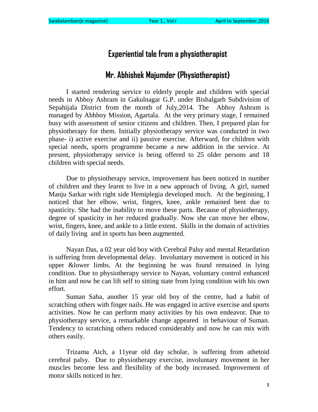# Experiential tale from a physiotherapist

# Mr. Abhishek Majumder (Physiotherapist)

I started rendering service to elderly people and children with special needs in Abhoy Ashram in Gakulnagar G.P. under Bishalgarh Subdivision of Sepahijala District from the month of July,2014. The Abhoy Ashram is managed by Abhhoy Mission, Agartala. At the very primary stage, I remained busy with assessment of senior citizens and children. Then, I prepared plan for physiotherapy for them. Initially physiotherapy service was conducted in two phase- i) active exercise and ii) passive exercise. Afterward, for children with special needs, sports programme became a new addition in the service. At present, physiotherapy service is being offered to 25 older persons and 18 children with special needs.

Due to physiotherapy service, improvement has been noticed in number of children and they learnt to live in a new approach of living. A girl, named Manju Sarkar with right side Hemiplegia developed much. At the beginning, I noticed that her elbow, wrist, fingers, knee, ankle remained bent due to spasticity. She had the inability to move these parts. Because of physiotherapy, degree of spasticity in her reduced gradually. Now she can move her elbow, wrist, fingers, knee, and ankle to a little extent. Skills in the domain of activities of daily living and in sports has been augmented.

Nayan Das, a 02 year old boy with Cerebral Palsy and mental Retardation is suffering from developmental delay. Involuntary movement is noticed in his upper &lower limbs. At the beginning he was found remained in lying condition. Due to physiotherapy service to Nayan, voluntary control enhanced in him and now he can lift self to sitting state from lying condition with his own effort.

Suman Saha, another 15 year old boy of the centre, had a habit of scratching others with finger nails. He was engaged in active exercise and sports activities. Now he can perform many activities by his own endeavor. Due to physiotherapy service, a remarkable change appeared in behaviour of Suman. Tendency to scratching others reduced considerably and now he can mix with others easily.

Trizama Aich, a 11year old day scholar, is suffering from athetoid cerebral palsy. Due to physiotherapy exercise, involuntary movement in her muscles become less and flexibility of the body increased. Improvement of motor skills noticed in her.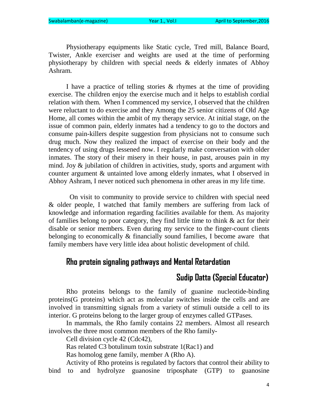Physiotherapy equipments like Static cycle, Tred mill, Balance Board, Twister, Ankle exerciser and weights are used at the time of performing physiotherapy by children with special needs & elderly inmates of Abhoy Ashram.

I have a practice of telling stories & rhymes at the time of providing exercise. The children enjoy the exercise much and it helps to establish cordial relation with them. When I commenced my service, I observed that the children were reluctant to do exercise and they Among the 25 senior citizens of Old Age Home, all comes within the ambit of my therapy service. At initial stage, on the issue of common pain, elderly inmates had a tendency to go to the doctors and consume pain-killers despite suggestion from physicians not to consume such drug much. Now they realized the impact of exercise on their body and the tendency of using drugs lessened now. I regularly make conversation with older inmates. The story of their misery in their house, in past, arouses pain in my mind. Joy & jubilation of children in activities, study, sports and argument with counter argument & untainted love among elderly inmates, what I observed in Abhoy Ashram, I never noticed such phenomena in other areas in my life time.

 On visit to community to provide service to children with special need & older people, I watched that family members are suffering from lack of knowledge and information regarding facilities available for them. As majority of families belong to poor category, they find little time to think & act for their disable or senior members. Even during my service to the finger-count clients belonging to economically & financially sound families, I become aware that family members have very little idea about holistic development of child.

# Rho protein signaling pathways and Mental Retardation

# Sudip Datta (Special Educator)

Rho proteins belongs to the family of guanine nucleotide-binding proteins(G proteins) which act as molecular switches inside the cells and are involved in transmitting signals from a variety of stimuli outside a cell to its interior. G proteins belong to the larger group of enzymes called GTPases.

In mammals, the Rho family contains 22 members. Almost all research involves the three most common members of the Rho family-

Cell division cycle 42 (Cdc42),

Ras related C3 botulinum toxin substrate 1(Rac1) and

Ras homolog gene family, member A (Rho A).

Activity of Rho proteins is regulated by factors that control their ability to bind to and hydrolyze guanosine triposphate (GTP) to guanosine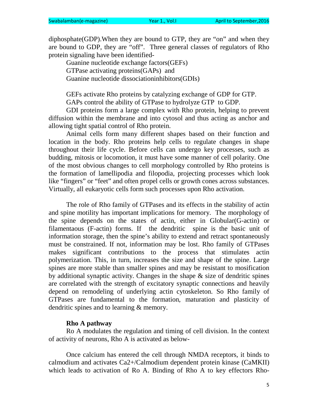diphosphate(GDP).When they are bound to GTP, they are "on" and when they are bound to GDP, they are "off". Three general classes of regulators of Rho protein signaling have been identified-

Guanine nucleotide exchange factors(GEFs) GTPase activating proteins(GAPs) and Guanine nucleotide dissociationinhibitors(GDIs)

GEFs activate Rho proteins by catalyzing exchange of GDP for GTP.

GAPs control the ability of GTPase to hydrolyze GTP to GDP.

GDI proteins form a large complex with Rho protein, helping to prevent diffusion within the membrane and into cytosol and thus acting as anchor and allowing tight spatial control of Rho protein.

Animal cells form many different shapes based on their function and location in the body. Rho proteins help cells to regulate changes in shape throughout their life cycle. Before cells can undergo key processes, such as budding, mitosis or locomotion, it must have some manner of cell polarity. One of the most obvious changes to cell morphology controlled by Rho proteins is the formation of lamellipodia and filopodia, projecting processes which look like "fingers" or "feet" and often propel cells or growth cones across substances. Virtually, all eukaryotic cells form such processes upon Rho activation.

The role of Rho family of GTPases and its effects in the stability of actin and spine motility has important implications for memory. The morphology of the spine depends on the states of actin, either in Globular(G-actin) or filamentaous (F-actin) forms. If the dendritic spine is the basic unit of information storage, then the spine's ability to extend and retract spontaneously must be constrained. If not, information may be lost. Rho family of GTPases makes significant contributions to the process that stimulates actin polymerization. This, in turn, increases the size and shape of the spine. Large spines are more stable than smaller spines and may be resistant to mosification by additional synaptic activity. Changes in the shape  $\&$  size of dendritic spines are correlated with the strength of excitatory synaptic connections and heavily depend on remodeling of underlying actin cytoskeleton. So Rho family of GTPases are fundamental to the formation, maturation and plasticity of dendritic spines and to learning & memory.

#### **Rho A pathway**

Ro A modulates the regulation and timing of cell division. In the context of activity of neurons, Rho A is activated as below-

Once calcium has entered the cell through NMDA receptors, it binds to calmodium and activates Ca2+/Calmodium dependent protein kinase (CaMKII) which leads to activation of Ro A. Binding of Rho A to key effectors Rho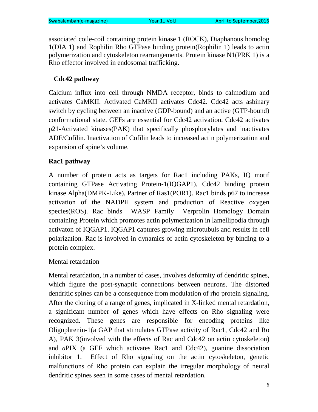associated coile-coil containing protein kinase 1 (ROCK), Diaphanous homolog 1(DIA 1) and Rophilin Rho GTPase binding protein(Rophilin 1) leads to actin polymerization and cytoskeleton rearrangements. Protein kinase N1(PRK 1) is a Rho effector involved in endosomal trafficking.

# **Cdc42 pathway**

Calcium influx into cell through NMDA receptor, binds to calmodium and activates CaMKII. Activated CaMKII activates Cdc42. Cdc42 acts asbinary switch by cycling between an inactive (GDP-bound) and an active (GTP-bound) conformational state. GEFs are essential for Cdc42 activation. Cdc42 activates p21-Activated kinases(PAK) that specifically phosphorylates and inactivates ADF/Cofilin. Inactivation of Cofilin leads to increased actin polymerization and expansion of spine's volume.

# **Rac1 pathway**

A number of protein acts as targets for Rac1 including PAKs, IQ motif containing GTPase Activating Protein-1(IQGAP1), Cdc42 binding protein kinase Alpha(DMPK-Like), Partner of Ras1(POR1). Rac1 binds p67 to increase activation of the NADPH system and production of Reactive oxygen species(ROS). Rac binds WASP Family Verprolin Homology Domain containing Protein which promotes actin polymerization in lamellipodia through activaton of IQGAP1. IQGAP1 captures growing microtubuls and results in cell polarization. Rac is involved in dynamics of actin cytoskeleton by binding to a protein complex.

Mental retardation

Mental retardation, in a number of cases, involves deformity of dendritic spines, which figure the post-synaptic connections between neurons. The distorted dendritic spines can be a consequence from modulation of rho protein signaling. After the cloning of a range of genes, implicated in X-linked mental retardation, a significant number of genes which have effects on Rho signaling were recognized. These genes are responsible for encoding proteins like Oligophrenin-1(a GAP that stimulates GTPase activity of Rac1, Cdc42 and Ro A), PAK 3(involved with the effects of Rac and Cdc42 on actin cytoskeleton) and *a*PIX (a GEF which activates Rac1 and Cdc42), guanine dissociation inhibitor 1. Effect of Rho signaling on the actin cytoskeleton, genetic malfunctions of Rho protein can explain the irregular morphology of neural dendritic spines seen in some cases of mental retardation.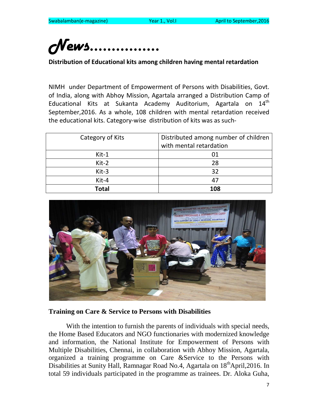# *News…………….*

Distribution of Educational kits among children having mental retardation

NIMH under Department of Empowerment of Persons with Disabilities, Govt. of India, along with Abhoy Mission, Agartala arranged a Distribution Camp of Educational Kits at Sukanta Academy Auditorium, Agartala on 14<sup>th</sup> September,2016. As a whole, 108 children with mental retardation received the educational kits. Category-wise distribution of kits was as such-

| Category of Kits | Distributed among number of children |
|------------------|--------------------------------------|
|                  | with mental retardation              |
| $Kit-1$          | 01                                   |
| Kit-2            | 28                                   |
| Kit-3            | 32                                   |
| Kit-4            | 47                                   |
| <b>Total</b>     | 108                                  |



#### **Training on Care & Service to Persons with Disabilities**

With the intention to furnish the parents of individuals with special needs, the Home Based Educators and NGO functionaries with modernized knowledge and information, the National Institute for Empowerment of Persons with Multiple Disabilities, Chennai, in collaboration with Abhoy Mission, Agartala, organized a training programme on Care &Service to the Persons with Disabilities at Sunity Hall, Ramnagar Road No.4, Agartala on 18<sup>th</sup>April, 2016. In total 59 individuals participated in the programme as trainees. Dr. Aloka Guha,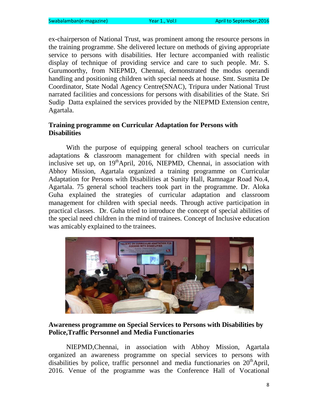ex-chairperson of National Trust, was prominent among the resource persons in the training programme. She delivered lecture on methods of giving appropriate service to persons with disabilities. Her lecture accompanied with realistic display of technique of providing service and care to such people. Mr. S. Gurumoorthy, from NIEPMD, Chennai, demonstrated the modus operandi handling and positioning children with special needs at house. Smt. Susmita De Coordinator, State Nodal Agency Centre(SNAC), Tripura under National Trust narrated facilities and concessions for persons with disabilities of the State. Sri Sudip Datta explained the services provided by the NIEPMD Extension centre, Agartala.

## **Training programme on Curricular Adaptation for Persons with Disabilities**

With the purpose of equipping general school teachers on curricular adaptations & classroom management for children with special needs in inclusive set up, on  $19<sup>th</sup>$ April, 2016, NIEPMD, Chennai, in association with Abhoy Mission, Agartala organized a training programme on Curricular Adaptation for Persons with Disabilities at Sunity Hall, Ramnagar Road No.4, Agartala. 75 general school teachers took part in the programme. Dr. Aloka Guha explained the strategies of curricular adaptation and classroom management for children with special needs. Through active participation in practical classes. Dr. Guha tried to introduce the concept of special abilities of the special need children in the mind of trainees. Concept of Inclusive education was amicably explained to the trainees.



#### **Awareness programme on Special Services to Persons with Disabilities by Police,Traffic Personnel and Media Functionaries**

NIEPMD,Chennai, in association with Abhoy Mission, Agartala organized an awareness programme on special services to persons with disabilities by police, traffic personnel and media functionaries on  $20<sup>th</sup>$ April, 2016. Venue of the programme was the Conference Hall of Vocational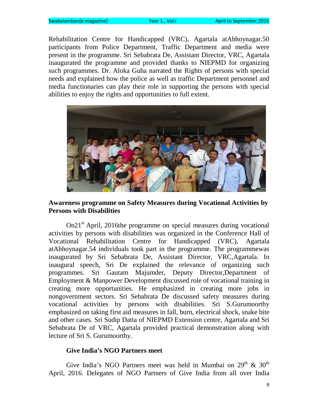Rehabilitation Centre for Handicapped (VRC), Agartala atAbhoynagar.50 participants from Police Department, Traffic Department and media were present in the programme. Sri Sebabrata De, Assistant Director, VRC, Agartala inaugurated the programme and provided thanks to NIEPMD for organizing such programmes. Dr. Aloka Guha narrated the Rights of persons with special needs and explained how the police as well as traffic Department personnel and media functionaries can play their role in supporting the persons with special abilities to enjoy the rights and opportunities to full extent.



#### **Awareness programme on Safety Measures during Vocational Activities by Persons with Disabilities**

On21<sup>st</sup> April, 2016the programme on special measures during vocational activities by persons with disabilities was organized in the Conference Hall of Vocational Rehabilitation Centre for Handicapped (VRC), Agartala atAbhoynagar.54 individuals took part in the programme. The programmewas inaugurated by Sri Sebabrata De, Assistant Director, VRC,Agartala. In inaugural speech, Sri De explained the relevance of organizing such programmes. Sri Gautam Majumder, Deputy Director,Department of Employment & Manpower Development discussed role of vocational training in creating more opportunities. He emphasized in creating more jobs in nongovernment sectors. Sri Sebabrata De discussed safety measures during vocational activities by persons with disabilities. Sri S.Gurumoorthy emphasized on taking first aid measures in fall, burn, electrical shock, snake bite and other cases. Sri Sudip Datta of NIEPMD Extension centre, Agartala and Sri Sebabrata De of VRC, Agartala provided practical demonstration along with lecture of Sri S. Gurumoorthy.

#### **Give India's NGO Partners meet**

Give India's NGO Partners meet was held in Mumbai on  $29<sup>th</sup>$  &  $30<sup>th</sup>$ April, 2016. Delegates of NGO Partners of Give India from all over India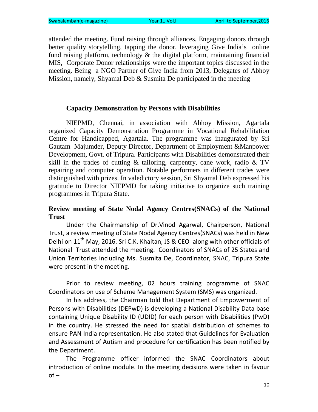attended the meeting. Fund raising through alliances, Engaging donors through better quality storytelling, tapping the donor, leveraging Give India's online fund raising platform, technology  $\&$  the digital platform, maintaining financial MIS, Corporate Donor relationships were the important topics discussed in the meeting. Being a NGO Partner of Give India from 2013, Delegates of Abhoy Mission, namely, Shyamal Deb & Susmita De participated in the meeting

#### **Capacity Demonstration by Persons with Disabilities**

NIEPMD, Chennai, in association with Abhoy Mission, Agartala organized Capacity Demonstration Programme in Vocational Rehabilitation Centre for Handicapped, Agartala. The programme was inaugurated by Sri Gautam Majumder, Deputy Director, Department of Employment &Manpower Development, Govt. of Tripura. Participants with Disabilities demonstrated their skill in the trades of cutting  $\&$  tailoring, carpentry, cane work, radio  $\&$  TV repairing and computer operation. Notable performers in different trades were distinguished with prizes. In valedictory session, Sri Shyamal Deb expressed his gratitude to Director NIEPMD for taking initiative to organize such training programmes in Tripura State.

## **Review meeting of State Nodal Agency Centres(SNACs) of the National Trust**

Under the Chairmanship of Dr.Vinod Agarwal, Chairperson, National Trust, a review meeting of State Nodal Agency Centres(SNACs) was held in New Delhi on 11<sup>th</sup> May, 2016. Sri C.K. Khaitan, JS & CEO along with other officials of National Trust attended the meeting. Coordinators of SNACs of 25 States and Union Territories including Ms. Susmita De, Coordinator, SNAC, Tripura State were present in the meeting.

Prior to review meeting, 02 hours training programme of SNAC Coordinators on use of Scheme Management System (SMS) was organized.

In his address, the Chairman told that Department of Empowerment of Persons with Disabilities (DEPwD) is developing a National Disability Data base containing Unique Disability ID (UDID) for each person with Disabilities (PwD) in the country. He stressed the need for spatial distribution of schemes to ensure PAN India representation. He also stated that Guidelines for Evaluation and Assessment of Autism and procedure for certification has been notified by the Department.

The Programme officer informed the SNAC Coordinators about introduction of online module. In the meeting decisions were taken in favour  $of -$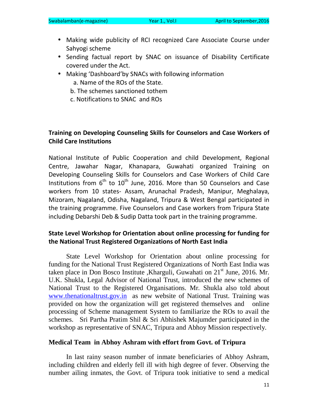- Making wide publicity of RCI recognized Care Associate Course under Sahyogi scheme
- Sending factual report by SNAC on issuance of Disability Certificate covered under the Act.
- Making 'Dashboard'by SNACs with following information a. Name of the ROs of the State.
	- b. The schemes sanctioned tothem
	- c. Notifications to SNAC and ROs

## Training on Developing Counseling Skills for Counselors and Case Workers of Child Care Institutions

National Institute of Public Cooperation and child Development, Regional Centre, Jawahar Nagar, Khanapara, Guwahati organized Training on Developing Counseling Skills for Counselors and Case Workers of Child Care Institutions from  $6<sup>th</sup>$  to  $10<sup>th</sup>$  June, 2016. More than 50 Counselors and Case workers from 10 states- Assam, Arunachal Pradesh, Manipur, Meghalaya, Mizoram, Nagaland, Odisha, Nagaland, Tripura & West Bengal participated in the training programme. Five Counselors and Case workers from Tripura State including Debarshi Deb & Sudip Datta took part in the training programme.

## State Level Workshop for Orientation about online processing for funding for the National Trust Registered Organizations of North East India

State Level Workshop for Orientation about online processing for funding for the National Trust Registered Organizations of North East India was taken place in Don Bosco Institute ,Kharguli, Guwahati on 21<sup>st</sup> June, 2016. Mr. U.K. Shukla, Legal Advisor of National Trust, introduced the new schemes of National Trust to the Registered Organisations. Mr. Shukla also told about www.thenationaltrust.gov.in as new website of National Trust. Training was provided on how the organization will get registered themselves and online processing of Scheme management System to familiarize the ROs to avail the schemes. Sri Partha Pratim Shil & Sri Abhishek Majumder participated in the workshop as representative of SNAC, Tripura and Abhoy Mission respectively.

#### **Medical Team in Abhoy Ashram with effort from Govt. of Tripura**

In last rainy season number of inmate beneficiaries of Abhoy Ashram, including children and elderly fell ill with high degree of fever. Observing the number ailing inmates, the Govt. of Tripura took initiative to send a medical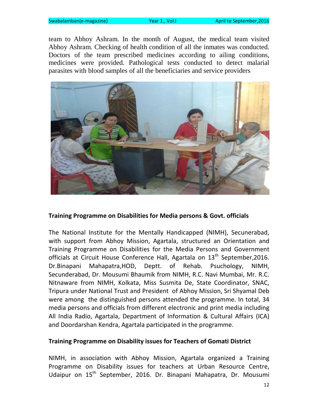team to Abhoy Ashram. In the month of August, the medical team visited Abhoy Ashram. Checking of health condition of all the inmates was conducted. Doctors of the team prescribed medicines according to ailing conditions, medicines were provided. Pathological tests conducted to detect malarial parasites with blood samples of all the beneficiaries and service providers



#### Training Programme on Disabilities for Media persons & Govt. officials

The National Institute for the Mentally Handicapped (NIMH), Secunerabad, with support from Abhoy Mission, Agartala, structured an Orientation and Training Programme on Disabilities for the Media Persons and Government officials at Circuit House Conference Hall, Agartala on  $13<sup>th</sup>$  September, 2016. Dr.Binapani Mahapatra,HOD, Deptt. of Rehab. Psuchology, NIMH, Secunderabad, Dr. Mousumi Bhaumik from NIMH, R.C. Navi Mumbai, Mr. R.C. Nitnaware from NIMH, Kolkata, Miss Susmita De, State Coordinator, SNAC, Tripura under National Trust and President of Abhoy Mission, Sri Shyamal Deb were among the distinguished persons attended the programme. In total, 34 media persons and officials from different electronic and print media including All India Radio, Agartala, Department of Information & Cultural Affairs (ICA) and Doordarshan Kendra, Agartala participated in the programme.

#### Training Programme on Disability issues for Teachers of Gomati District

NIMH, in association with Abhoy Mission, Agartala organized a Training Programme on Disability issues for teachers at Urban Resource Centre, Udaipur on 15<sup>th</sup> September, 2016. Dr. Binapani Mahapatra, Dr. Mousumi